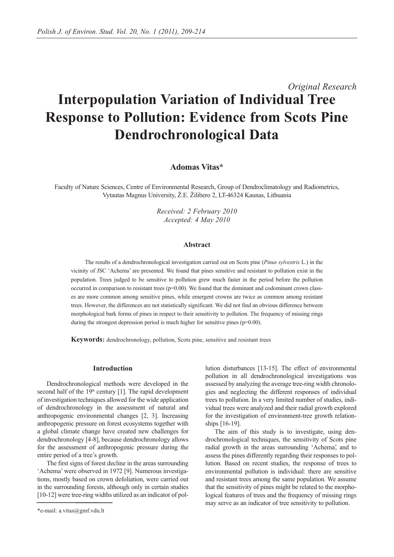# *Original Research* **Interpopulation Variation of Individual Tree Response to Pollution: Evidence from Scots Pine Dendrochronological Data**

## **Adomas Vitas\***

Faculty of Nature Sciences, Centre of Environmental Research, Group of Dendroclimatology and Radiometrics, Vytautas Magnus University, Ž.E. Žilibero 2, LT-46324 Kaunas, Lithuania

> *Received: 2 February 2010 Accepted: 4 May 2010*

#### **Abstract**

The results of a dendrochronological investigation carried out on Scots pine (*Pinus sylvestris* L.) in the vicinity of JSC 'Achema' are presented. We found that pines sensitive and resistant to pollution exist in the population. Trees judged to be sensitive to pollution grew much faster in the period before the pollution occurred in comparison to resistant trees  $(p=0.00)$ . We found that the dominant and codominant crown classes are more common among sensitive pines, while emergent crowns are twice as common among resistant trees. However, the differences are not statistically significant. We did not find an obvious difference between morphological bark forms of pines in respect to their sensitivity to pollution. The frequency of missing rings during the strongest depression period is much higher for sensitive pines ( $p=0.00$ ).

**Keywords:** dendrochronology, pollution, Scots pine, sensitive and resistant trees

### **Introduction**

Dendrochronological methods were developed in the second half of the  $19<sup>th</sup>$  century [1]. The rapid development of investigation techniques allowed for the wide application of dendrochronology in the assessment of natural and anthropogenic environmental changes [2, 3]. Increasing anthropogenic pressure on forest ecosystems together with a global climate change have created new challenges for dendrochronology [4-8], because dendrochronology allows for the assessment of anthropogenic pressure during the entire period of a tree's growth.

The first signs of forest decline in the areas surrounding 'Achema' were observed in 1972 [9]. Numerous investigations, mostly based on crown defoliation, were carried out in the surrounding forests, although only in certain studies [10-12] were tree-ring widths utilized as an indicator of pollution disturbances [13-15]. The effect of environmental pollution in all dendrochronological investigations was assessed by analyzing the average tree-ring width chronologies and neglecting the different responses of individual trees to pollution. In a very limited number of studies, individual trees were analyzed and their radial growth explored for the investigation of environment-tree growth relationships [16-19].

The aim of this study is to investigate, using dendrochronological techniques, the sensitivity of Scots pine radial growth in the areas surrounding 'Achema', and to assess the pines differently regarding their responses to pollution. Based on recent studies, the response of trees to environmental pollution is individual: there are sensitive and resistant trees among the same population. We assume that the sensitivity of pines might be related to the morphological features of trees and the frequency of missing rings may serve as an indicator of tree sensitivity to pollution.

<sup>\*</sup>e-mail: a.vitas@gmf.vdu.lt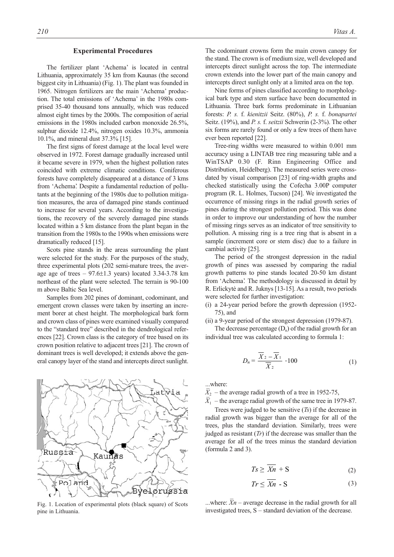#### **Experimental Procedures**

The fertilizer plant 'Achema' is located in central Lithuania, approximately 35 km from Kaunas (the second biggest city in Lithuania) (Fig. 1). The plant was founded in 1965. Nitrogen fertilizers are the main 'Achema' production. The total emissions of 'Achema' in the 1980s comprised 35-40 thousand tons annually, which was reduced almost eight times by the 2000s. The composition of aerial emissions in the 1980s included carbon monoxide 26.5%, sulphur dioxide 12.4%, nitrogen oxides 10.3%, ammonia 10.1%, and mineral dust 37.3% [15].

The first signs of forest damage at the local level were observed in 1972. Forest damage gradually increased until it became severe in 1979, when the highest pollution rates coincided with extreme climatic conditions. Coniferous forests have completely disappeared at a distance of 3 kms from 'Achema'. Despite a fundamental reduction of pollutants at the beginning of the 1980s due to pollution mitigation measures, the area of damaged pine stands continued to increase for several years. According to the investigations, the recovery of the severely damaged pine stands located within a 5 km distance from the plant began in the transition from the 1980s to the 1990s when emissions were dramatically reduced [15].

Scots pine stands in the areas surrounding the plant were selected for the study. For the purposes of the study, three experimental plots (202 semi-mature trees, the average age of trees  $-97.6\pm1.3$  years) located 3.34-3.78 km northeast of the plant were selected. The terrain is 90-100 m above Baltic Sea level.

Samples from 202 pines of dominant, codominant, and emergent crown classes were taken by inserting an increment borer at chest height. The morphological bark form and crown class of pines were examined visually compared to the "standard tree" described in the dendrological references [22]. Crown class is the category of tree based on its crown position relative to adjacent trees [21]. The crown of dominant trees is well developed; it extends above the general canopy layer of the stand and intercepts direct sunlight.



Fig. 1. Location of experimental plots (black square) of Scots pine in Lithuania.

The codominant crowns form the main crown canopy for the stand. The crown is of medium size, well developed and intercepts direct sunlight across the top. The intermediate crown extends into the lower part of the main canopy and intercepts direct sunlight only at a limited area on the top.

Nine forms of pines classified according to morphological bark type and stem surface have been documented in Lithuania. Three bark forms predominate in Lithuanian forests: *P. s.* f. *kienitzii* Seitz. (80%), *P. s.* f. *bonapartei* Seitz. (19%), and *P. s.* f. *seitzii* Schwerin (2-3%). The other six forms are rarely found or only a few trees of them have ever been reported [22].

Tree-ring widths were measured to within 0.001 mm accuracy using a LINTAB tree ring measuring table and a WinTSAP 0.30 (F. Rinn Engineering Office and Distribution, Heidelberg). The measured series were crossdated by visual comparison [23] of ring-width graphs and checked statistically using the Cofecha 3.00P computer program (R. L. Holmes, Tucson) [24]. We investigated the occurrence of missing rings in the radial growth series of pines during the strongest pollution period. This was done in order to improve our understanding of how the number of missing rings serves as an indicator of tree sensitivity to pollution. A missing ring is a tree ring that is absent in a sample (increment core or stem disc) due to a failure in cambial activity [25].

The period of the strongest depression in the radial growth of pines was assessed by comparing the radial growth patterns to pine stands located 20-50 km distant from 'Achema'. The methodology is discussed in detail by R. Erlickytė and R. Juknys [13-15]. As a result, two periods were selected for further investigation:

- (i) a 24-year period before the growth depression (1952- 75), and
- (ii) a 9-year period of the strongest depression (1979-87).

The decrease percentage  $(D_n)$  of the radial growth for an individual tree was calculated according to formula 1:

$$
D_n = \frac{\overline{X}_2 - \overline{X}_1}{\overline{X}_2} \cdot 100
$$
 (1)

...where:

 $\overline{X}_2$  – the average radial growth of a tree in 1952-75,

 $\overline{X}_1$  – the average radial growth of the same tree in 1979-87.

Trees were judged to be sensitive (*Ts*) if the decrease in radial growth was bigger than the average for all of the trees, plus the standard deviation. Similarly, trees were judged as resistant (*Tr*) if the decrease was smaller than the average for all of the trees minus the standard deviation (formula 2 and 3).

$$
Ts \geq Xn + S \tag{2}
$$

$$
Tr \le \overline{Xn} - S \tag{3}
$$

...where:  $\overline{X}n$  – average decrease in the radial growth for all investigated trees, S – standard deviation of the decrease.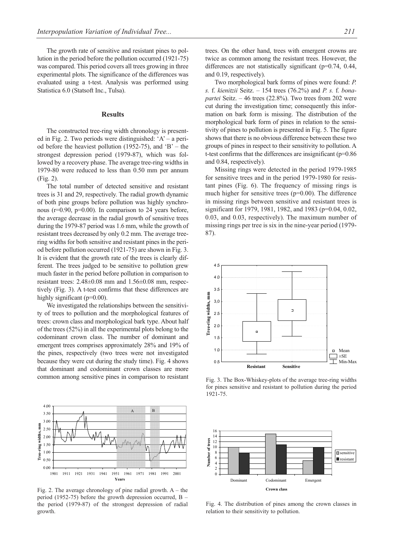The growth rate of sensitive and resistant pines to pollution in the period before the pollution occurred (1921-75) was compared. This period covers all trees growing in three experimental plots. The significance of the differences was evaluated using a t-test. Analysis was performed using Statistica 6.0 (Statsoft Inc., Tulsa).

#### **Results**

The constructed tree-ring width chronology is presented in Fig. 2. Two periods were distinguished: ' $A'$  – a period before the heaviest pollution (1952-75), and  $B'$  – the strongest depression period (1979-87), which was followed by a recovery phase. The average tree-ring widths in 1979-80 were reduced to less than 0.50 mm per annum (Fig. 2).

The total number of detected sensitive and resistant trees is 31 and 29, respectively. The radial growth dynamic of both pine groups before pollution was highly synchronous (r=0.90, p=0.00). In comparison to 24 years before, the average decrease in the radial growth of sensitive trees during the 1979-87 period was 1.6 mm, while the growth of resistant trees decreased by only 0.2 mm. The average treering widths for both sensitive and resistant pines in the period before pollution occurred (1921-75) are shown in Fig. 3. It is evident that the growth rate of the trees is clearly different. The trees judged to be sensitive to pollution grew much faster in the period before pollution in comparison to resistant trees: 2.48±0.08 mm and 1.56±0.08 mm, respectively (Fig. 3). A t-test confirms that these differences are highly significant (p=0.00).

We investigated the relationships between the sensitivity of trees to pollution and the morphological features of trees: crown class and morphological bark type. About half of the trees (52%) in all the experimental plots belong to the codominant crown class. The number of dominant and emergent trees comprises approximately 28% and 19% of the pines, respectively (two trees were not investigated because they were cut during the study time). Fig. 4 shows that dominant and codominant crown classes are more common among sensitive pines in comparison to resistant



Fig. 2. The average chronology of pine radial growth.  $A -$  the period (1952-75) before the growth depression occurred, B – the period (1979-87) of the strongest depression of radial growth.

trees. On the other hand, trees with emergent crowns are twice as common among the resistant trees. However, the differences are not statistically significant (p=0.74, 0.44, and 0.19, respectively).

Two morphological bark forms of pines were found: *P. s.* f. *kienitzii* Seitz. – 154 trees (76.2%) and *P. s.* f. *bonapartei* Seitz. – 46 trees (22.8%). Two trees from 202 were cut during the investigation time; consequently this information on bark form is missing. The distribution of the morphological bark form of pines in relation to the sensitivity of pines to pollution is presented in Fig. 5. The figure shows that there is no obvious difference between these two groups of pines in respect to their sensitivity to pollution. A t-test confirms that the differences are insignificant (p=0.86 and 0.84, respectively).

Missing rings were detected in the period 1979-1985 for sensitive trees and in the period 1979-1980 for resistant pines (Fig. 6). The frequency of missing rings is much higher for sensitive trees  $(p=0.00)$ . The difference in missing rings between sensitive and resistant trees is significant for 1979, 1981, 1982, and 1983 (p=0.04, 0.02, 0.03, and 0.03, respectively). The maximum number of missing rings per tree is six in the nine-year period (1979- 87).



Fig. 3. The Box-Whiskey-plots of the average tree-ring widths for pines sensitive and resistant to pollution during the period 1921-75.



Fig. 4. The distribution of pines among the crown classes in relation to their sensitivity to pollution.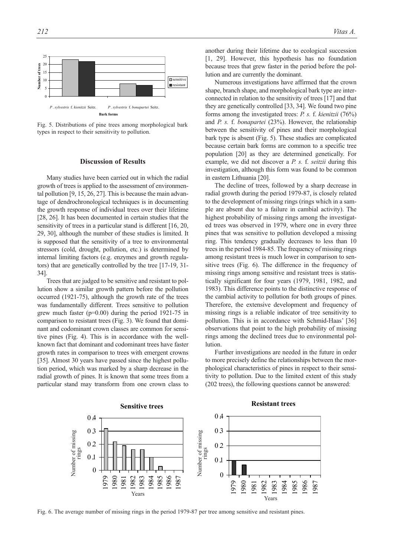

Fig. 5. Distributions of pine trees among morphological bark types in respect to their sensitivity to pollution.

#### **Discussion of Results**

Many studies have been carried out in which the radial growth of trees is applied to the assessment of environmental pollution [9, 15, 26, 27]. This is because the main advantage of dendrochronological techniques is in documenting the growth response of individual trees over their lifetime [28, 26]. It has been documented in certain studies that the sensitivity of trees in a particular stand is different [16, 20, 29, 30], although the number of these studies is limited. It is supposed that the sensitivity of a tree to environmental stressors (cold, drought, pollution, etc.) is determined by internal limiting factors (e.g. enzymes and growth regulators) that are genetically controlled by the tree [17-19, 31- 34].

Trees that are judged to be sensitive and resistant to pollution show a similar growth pattern before the pollution occurred (1921-75), although the growth rate of the trees was fundamentally different. Trees sensitive to pollution grew much faster ( $p=0.00$ ) during the period 1921-75 in comparison to resistant trees (Fig. 3). We found that dominant and codominant crown classes are common for sensitive pines (Fig. 4). This is in accordance with the wellknown fact that dominant and codominant trees have faster growth rates in comparison to trees with emergent crowns [35]. Almost 30 years have passed since the highest pollution period, which was marked by a sharp decrease in the radial growth of pines. It is known that some trees from a particular stand may transform from one crown class to another during their lifetime due to ecological succession [1, 29]. However, this hypothesis has no foundation because trees that grew faster in the period before the pollution and are currently the dominant.

Numerous investigations have affirmed that the crown shape, branch shape, and morphological bark type are interconnected in relation to the sensitivity of trees [17] and that they are genetically controlled [33, 34]. We found two pine forms among the investigated trees: *P. s.* f. *kienitzii* (76%) and *P. s.* f. *bonapartei* (23%). However, the relationship between the sensitivity of pines and their morphological bark type is absent (Fig. 5). These studies are complicated because certain bark forms are common to a specific tree population [20] as they are determined genetically. For example, we did not discover a *P. s.* f. *seitzii* during this investigation, although this form was found to be common in eastern Lithuania [20].

The decline of trees, followed by a sharp decrease in radial growth during the period 1979-87, is closely related to the development of missing rings (rings which in a sample are absent due to a failure in cambial activity). The highest probability of missing rings among the investigated trees was observed in 1979, where one in every three pines that was sensitive to pollution developed a missing ring. This tendency gradually decreases to less than 10 trees in the period 1984-85. The frequency of missing rings among resistant trees is much lower in comparison to sensitive trees (Fig. 6). The difference in the frequency of missing rings among sensitive and resistant trees is statistically significant for four years (1979, 1981, 1982, and 1983). This difference points to the distinctive response of the cambial activity to pollution for both groups of pines. Therefore, the extensive development and frequency of missing rings is a reliable indicator of tree sensitivity to pollution. This is in accordance with Schmid-Haas' [36] observations that point to the high probability of missing rings among the declined trees due to environmental pollution.

Further investigations are needed in the future in order to more precisely define the relationships between the morphological characteristics of pines in respect to their sensitivity to pollution. Due to the limited extent of this study (202 trees), the following questions cannot be answered:

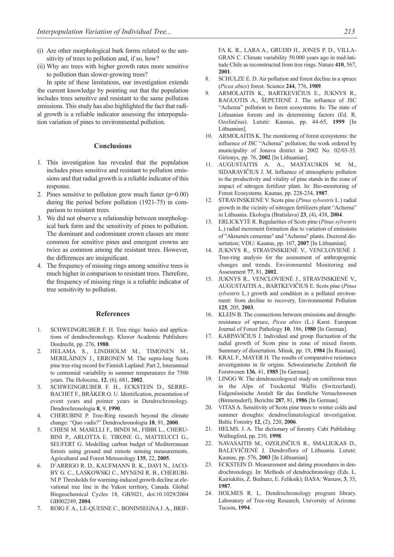- (i) Are other morphological bark forms related to the sensitivity of trees to pollution and, if so, how?
- (ii) Why are trees with higher growth rates more sensitive to pollution than slower-growing trees?

In spite of these limitations, our investigation extends the current knowledge by pointing out that the population includes trees sensitive and resistant to the same pollution emissions. This study has also highlighted the fact that radial growth is a reliable indicator assessing the interpopulation variation of pines to environmental pollution.

#### **Conclusions**

- 1. This investigation has revealed that the population includes pines sensitive and resistant to pollution emissions and that radial growth is a reliable indicator of this response.
- 2. Pines sensitive to pollution grew much faster  $(p=0.00)$ during the period before pollution (1921-75) in comparison to resistant trees.
- 3. We did not observe a relationship between morphological bark form and the sensitivity of pines to pollution. The dominant and codominant crown classes are more common for sensitive pines and emergent crowns are twice as common among the resistant trees. However, the differences are insignificant.
- 4. The frequency of missing rings among sensitive trees is much higher in comparison to resistant trees. Therefore, the frequency of missing rings is a reliable indicator of tree sensitivity to pollution.

#### **References**

- 1. SCHWEINGRUBER F. H. Tree rings: basics and applications of dendrochronology. Kluwer Academic Publishers: Dordrecht, pp. 276, **1988**.
- 2. HELAMA S., LINDHOLM M., TIMONEN M., MERILÄINEN J., ERRONEN M. The supra-long Scots pine tree-ring record for Finnish Lapland: Part 2, Interannual to centennial variability in summer temperatures for 7500 years. The Holocene, **12**, (6), 681, **2002**.
- 3. SCHWEINGRUBER F. H., ECKSTEIN D., SERRE-BACHET F., BRÄKER O. U. Identification, presentation of event years and pointer years in Dendrochronology. Dendrochronologia **8**, 9, **1990**.
- 4. CHERUBINI P. Tree-Ring research beyond the climate change: "Quo vadis?" Dendrochronologia **18**, 91, **2000**.
- 5. CHIESI M. MASELLI F., BINDI M., FIBBI L., CHERU-BINI P., ARLOTTA E. TIRONE G., MATTEUCCI G., SEUFERT G. Modelling carbon budget of Mediterranean forests using ground and remote sensing measurements. Agricultural and Forest Meteorology **135**, 22, **2005**.
- 6. D'ARRIGO R. D., KAUFMANN R. K., DAVI N., JACO-BY G. C., LASKOWSKI C., MYNENI R. B., CHERUBI-NI P. Thresholds for warming-induced growth decline at elevational tree line in the Yukon territory, Canada. Global Biogeochemical Cycles 18, GB3021, doi:10.1029/2004 GB002249, **2004**.
- 7. ROIG F. A., LE-QUESNE C., BONINSEGNA J. A., BRIF-

FA K. R., LARA A., GRUDD H., JONES P. D., VILLA-GRAN C. Climate variability 50.000 years ago in mid-latitude Chile as reconstructed from tree rings. Nature **410**, 567, **2001**.

- 8. SCHULZE E. D. Air pollution and forest decline in a spruce (*Picea abies*) forest. Science **244**, 776, **1989**.
- 9. ARMOLAITIS K., BARTKEVIČIUS E., JUKNYS R., RAGUOTIS A., ŠEPETIENĖ J. The influence of JSC "Achema" pollution to forest ecosystems. In: The state of Lithuanian forests and its determining factors (Ed. R. Ozolinčius). Lututė: Kaunas, pp. 44-65, **1999** [In Lithuanian].
- 10. ARMOLAITIS K. The monitoring of forest ecosystems: the influence of JSC "Achema" pollution; the work ordered by municipality of Jonava district in 2002 No. 02/03-35. Girionys, pp. 76, **2002** [In Lithuanian].
- 11. AUGUSTAITIS А. А., MASTAUSKIS М. М., SIDARAVIČIUS J. М. Influence of atmospheric pollution to the productivity and vitality of pine stands in the zone of impact of nitrogen fertilizer plant. In: Bio-monitoring of Forest Ecosystems. Kaunas, pp. 228-234, **1987**.
- 12. STRAVINSKIENĖ V. Scots pine (*Pinus sylvestris* L.) radial growth in the vicinity of nitrogen fertilizers plant "Achema" in Lithuania. Ekologia (Bratislava) **23**, (4), 438, **2004**.
- 13. ERLICKYTĖ R. Regularities of Scots pine (*Pinus sylvestris* L.) radial increment formation due to variation of emissions of "Akmenės cementas" and "Achema" plants. Doctoral dissertation; VDU: Kaunas, pp. 107, **2007** [In Lithuanian].
- 14. JUKNYS R., STRAVINSKIENĖ V., VENCLOVIENĖ J. Tree-ring analysis for the assessment of anthropogenic changes and trends. Environmental Monitoring and Assessment **77**, 81, **2002**.
- 15. JUKNYS R., VENCLOVIENĖ J., STRAVINSKIENĖ V., AUGUSTAITIS A., BARTKEVIČIUS E. Scots pine (*Pinus sylvestris* L.) growth and condition in a polluted environment: from decline to recovery, Environmental Pollution **125**, 205, **2003**.
- 16. KLEIN B. The connections between emissions and droughtresistance of spruce, *Picea abies* (L.) Karst. European Journal of Forest Pathology **10**, 186, **1980** [In German].
- 17. KARPAVIČIUS J. Individual and group fluctuation of the radial growth of Scots pine in zone of mixed forests. Summary of dissertation. Minsk, pp. 19, **1984** [In Russian].
- 18. KRAL F., MAYER H. The results of comparative resistance investigations in fir origins. Schweizarische Zeitshrift für Forstwesen **136**, 41, **1985** [In German].
- 19. LINGG W. The dendroecologocal study on coniferous trees in the Alps of Trockental Wallis (Switzerland). Eidgenössische Anstalt für das forstliche Versuchswesen (Birmensdorf), Berichte **287**, 81, **1986** [In German].
- 20. VITAS A. Sensitivity of Scots pine trees to winter colds and summer droughts: dendroclimatological investigation. Baltic Forestry **12**, (2), 220, **2006**.
- 21. HELMS. J. A. The dictionary of forestry. Cabi Publishing: Wallingford, pp. 210, **1998**.
- 22. NAVASAITIS M., OZOLINČIUS R., SMALIUKAS D., BALEVIČIENĖ J. Dendroflora of Lithuania. Lututė: Kaunas, pp. 576, **2003** [In Lithuanian].
- 23. ECKSTEIN D. Measurement and dating procedures in dendrochronology. In: Methods of dendrochronology (Eds. L. Kairiukštis, Z. Bednarz, E. Feliksik); IIASA: Warsaw, **3**, 35, **1987**.
- 24. HOLMES R. L. Dendrochronology program library. Laboratory of Tree-ring Research, University of Arizona: Tucson, **1994**.